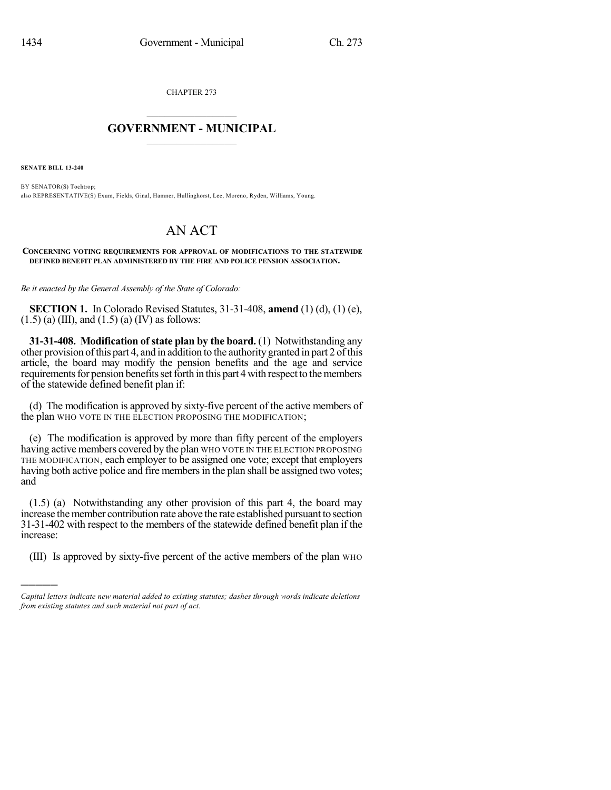CHAPTER 273

## $\mathcal{L}_\text{max}$  . The set of the set of the set of the set of the set of the set of the set of the set of the set of the set of the set of the set of the set of the set of the set of the set of the set of the set of the set **GOVERNMENT - MUNICIPAL**  $\_$

**SENATE BILL 13-240**

)))))

BY SENATOR(S) Tochtrop; also REPRESENTATIVE(S) Exum, Fields, Ginal, Hamner, Hullinghorst, Lee, Moreno, Ryden, Williams, Young.

## AN ACT

**CONCERNING VOTING REQUIREMENTS FOR APPROVAL OF MODIFICATIONS TO THE STATEWIDE DEFINED BENEFIT PLAN ADMINISTERED BY THE FIRE AND POLICE PENSION ASSOCIATION.**

*Be it enacted by the General Assembly of the State of Colorado:*

**SECTION 1.** In Colorado Revised Statutes, 31-31-408, **amend** (1) (d), (1) (e),  $(1.5)$  (a) (III), and  $(1.5)$  (a) (IV) as follows:

**31-31-408. Modification of state plan by the board.** (1) Notwithstanding any other provision ofthis part 4, and in addition to the authority granted in part 2 ofthis article, the board may modify the pension benefits and the age and service requirements for pension benefits set forth in this part 4 with respect to the members of the statewide defined benefit plan if:

(d) The modification is approved by sixty-five percent of the active members of the plan WHO VOTE IN THE ELECTION PROPOSING THE MODIFICATION;

(e) The modification is approved by more than fifty percent of the employers having active members covered by the plan WHO VOTE IN THE ELECTION PROPOSING THE MODIFICATION, each employer to be assigned one vote; except that employers having both active police and fire members in the plan shall be assigned two votes; and

(1.5) (a) Notwithstanding any other provision of this part 4, the board may increase themember contribution rate above the rate established pursuant to section 31-31-402 with respect to the members of the statewide defined benefit plan if the increase:

(III) Is approved by sixty-five percent of the active members of the plan WHO

*Capital letters indicate new material added to existing statutes; dashes through words indicate deletions from existing statutes and such material not part of act.*